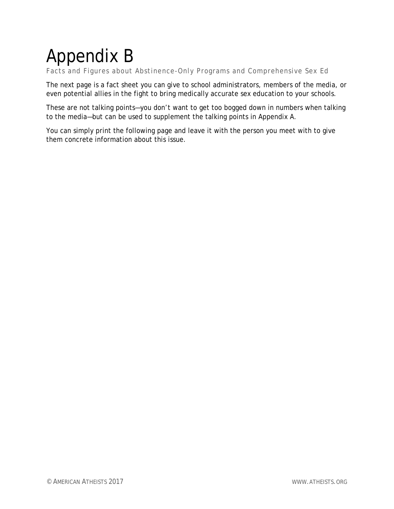# Appendix B

Facts and Figures about Abstinence-Only Programs and Comprehensive Sex Ed

The next page is a fact sheet you can give to school administrators, members of the media, or even potential allies in the fight to bring medically accurate sex education to your schools.

These are not talking points—you don't want to get too bogged down in numbers when talking to the media—but can be used to supplement the talking points in Appendix A.

You can simply print the following page and leave it with the person you meet with to give them concrete information about this issue.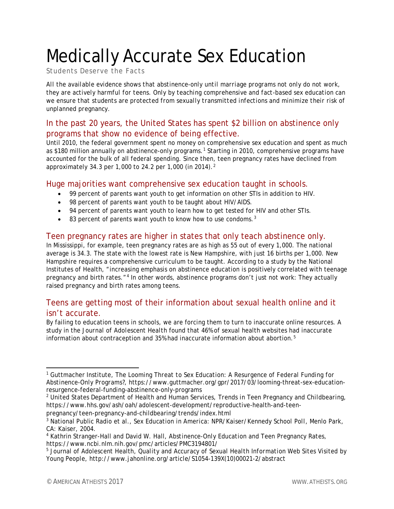## Medically Accurate Sex Education

Students Deserve the Facts

*All the available evidence shows that abstinence-only until marriage programs not only do not work, they are actively harmful for teens. Only by teaching comprehensive and fact-based sex education can we ensure that students are protected from sexually transmitted infections and minimize their risk of unplanned pregnancy.*

## In the past 20 years, the United States has spent \$2 billion on abstinence only programs that show no evidence of being effective.

Until 2010, the federal government spent no money on comprehensive sex education and spent as much as \$180 million annually on abstinence-only programs.[1](#page-1-0) Starting in 2010, comprehensive programs have accounted for the bulk of all federal spending. Since then, teen pregnancy rates have declined from approximately 34.3 per 1,000 to [2](#page-1-1)4.2 per 1,000 (in 2014).<sup>2</sup>

#### Huge majorities want comprehensive sex education taught in schools.

- 99 percent of parents want youth to get information on other STIs in addition to HIV.
- 98 percent of parents want youth to be taught about HIV/AIDS.
- 94 percent of parents want youth to learn how to get tested for HIV and other STIs.
- $\bullet$  8[3](#page-1-2) percent of parents want youth to know how to use condoms.<sup>3</sup>

### Teen pregnancy rates are higher in states that only teach abstinence only.

In Mississippi, for example, teen pregnancy rates are as high as 55 out of every 1,000. The national average is 34.3. The state with the lowest rate is New Hampshire, with just 16 births per 1,000. New Hampshire requires a comprehensive curriculum to be taught. According to a study by the National Institutes of Health, "increasing emphasis on abstinence education is positively correlated with teenage pregnancy and birth rates."[4](#page-1-3) In other words, abstinence programs don't just not work: They actually raised pregnancy and birth rates among teens.

## Teens are getting most of their information about sexual health online and it isn't accurate.

By failing to education teens in schools, we are forcing them to turn to inaccurate online resources. A study in the *Journal of Adolescent Health* found that 46% of sexual health websites had inaccurate information about contraception and 35% had inaccurate information about abortion.[5](#page-1-4)

pregnancy/teen-pregnancy-and-childbearing/trends/index.html

<span id="page-1-0"></span> <sup>1</sup> Guttmacher Institute, *The Looming Threat to Sex Education: A Resurgence of Federal Funding for Abstinence-Only Programs?*, https://www.guttmacher.org/gpr/2017/03/looming-threat-sex-educationresurgence-federal-funding-abstinence-only-programs

<span id="page-1-1"></span><sup>2</sup> United States Department of Health and Human Services, *Trends in Teen Pregnancy and Childbearing*, https://www.hhs.gov/ash/oah/adolescent-development/reproductive-health-and-teen-

<span id="page-1-2"></span><sup>3</sup> National Public Radio et al., *Sex Education in America: NPR/Kaiser/Kennedy School Poll,* Menlo Park, CA: Kaiser, 2004.

<span id="page-1-3"></span><sup>4</sup> Kathrin Stranger-Hall and David W. Hall, *Abstinence-Only Education and Teen Pregnancy Rates*, https://www.ncbi.nlm.nih.gov/pmc/articles/PMC3194801/

<span id="page-1-4"></span><sup>5</sup> Journal of Adolescent Health, *Quality and Accuracy of Sexual Health Information Web Sites Visited by Young People*, http://www.jahonline.org/article/S1054-139X(10)00021-2/abstract